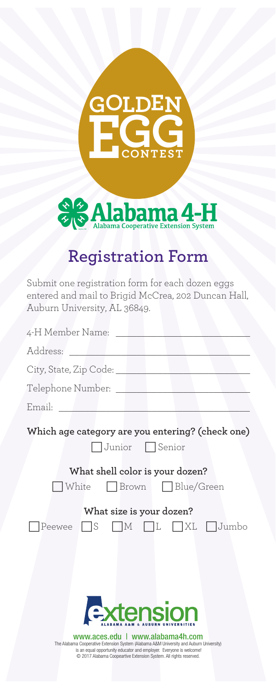## $\overline{\textbf{GOLDEN}}$  $EGG$



## **Registration Form**

Submit one registration form for each dozen eggs entered and mail to Brigid McCrea, 202 Duncan Hall, Auburn University, AL 36849.

| 4-H Member Name: The Management of the Second Second Second Second Second Second Second Second Second Second S                                                                                                                                                                      |
|-------------------------------------------------------------------------------------------------------------------------------------------------------------------------------------------------------------------------------------------------------------------------------------|
| Address:<br><u> 1989 - John Harry Harry Harry Harry Harry Harry Harry Harry Harry Harry Harry Harry Harry Harry Harry Harry</u>                                                                                                                                                     |
| City, State, Zip Code: University, State, Zip Code:                                                                                                                                                                                                                                 |
| Telephone Number: _______________________                                                                                                                                                                                                                                           |
| Email: <u>_______________</u>                                                                                                                                                                                                                                                       |
| Which age category are you entering? (check one)<br>Junior Senior                                                                                                                                                                                                                   |
|                                                                                                                                                                                                                                                                                     |
| What shell color is your dozen?                                                                                                                                                                                                                                                     |
| White Brown Blue/Green                                                                                                                                                                                                                                                              |
| What size is your dozen?                                                                                                                                                                                                                                                            |
| Peewee S M IL XL Jumbo                                                                                                                                                                                                                                                              |
| xtension<br>www.aces.edu   www.alabama4h.com<br>The Alabama Cooperative Extension System (Alabama A&M University and Auburn University)<br>is an equal opportunity educator and employer. Everyone is welcome!<br>C 2017 Alabama Coopeartive Extension System. All rights reserved. |